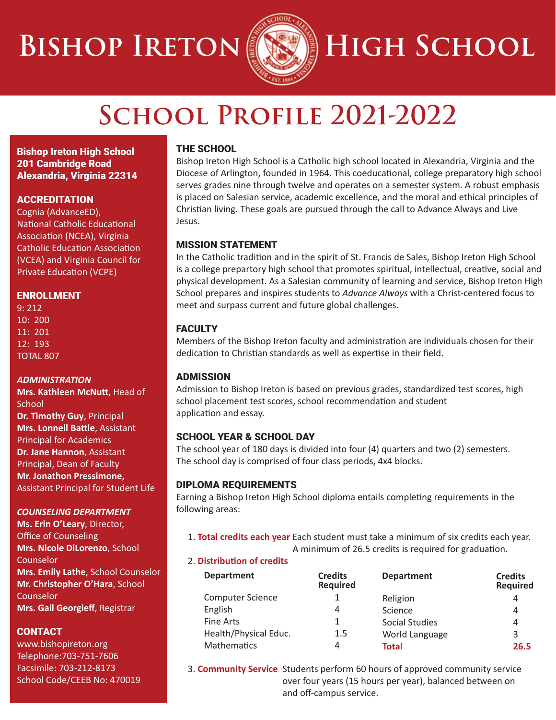# **BISHOP IRETON <b>SEED** HIGH SCHOOL



## **School Profile 2021-2022**

Bishop Ireton High School 201 Cambridge Road Alexandria, Virginia 22314

### **ACCREDITATION**

Cognia (AdvanceED), National Catholic Educational Association (NCEA), Virginia Catholic Education Association (VCEA) and Virginia Council for Private Education (VCPE)

#### ENROLLMENT

9: 212 10: 200 11: 201 12: 193 TOTAL 807

#### *ADMINISTRATION*

**Mrs. Kathleen McNutt**, Head of **School Dr. Timothy Guy**, Principal **Mrs. Lonnell Battle**, Assistant Principal for Academics **Dr. Jane Hannon**, Assistant Principal, Dean of Faculty **Mr. Jonathon Pressimone,** Assistant Principal for Student Life

### *COUNSELING DEPARTMENT*

**Ms. Erin O'Leary**, Director, Office of Counseling **Mrs. Nicole DiLorenzo**, School Counselor **Mrs. Emily Lathe**, School Counselor **Mr. Christopher O'Hara**, School Counselor **Mrs. Gail Georgieff**, Registrar

#### CONTACT

www.bishopireton.org Telephone:703-751-7606 Facsimile: 703-212-8173 School Code/CEEB No: 470019

#### THE SCHOOL

Bishop Ireton High School is a Catholic high school located in Alexandria, Virginia and the Diocese of Arlington, founded in 1964. This coeducational, college preparatory high school serves grades nine through twelve and operates on a semester system. A robust emphasis is placed on Salesian service, academic excellence, and the moral and ethical principles of Christian living. These goals are pursued through the call to Advance Always and Live Jesus.

#### MISSION STATEMENT

In the Catholic tradition and in the spirit of St. Francis de Sales, Bishop Ireton High School is a college prepartory high school that promotes spiritual, intellectual, creative, social and physical development. As a Salesian community of learning and service, Bishop Ireton High School prepares and inspires students to *Advance Always* with a Christ-centered focus to meet and surpass current and future global challenges.

### **FACULTY**

Members of the Bishop Ireton faculty and administration are individuals chosen for their dedication to Christian standards as well as expertise in their field.

#### ADMISSION

Admission to Bishop Ireton is based on previous grades, standardized test scores, high school placement test scores, school recommendation and student application and essay.

### SCHOOL YEAR & SCHOOL DAY

The school year of 180 days is divided into four (4) quarters and two (2) semesters. The school day is comprised of four class periods, 4x4 blocks.

### DIPLOMA REQUIREMENTS

Earning a Bishop Ireton High School diploma entails completing requirements in the following areas:

1. **Total credits each year** Each student must take a minimum of six credits each year. A minimum of 26.5 credits is required for graduation.

#### 2. **Distribution of credits**

| <b>Department</b>       | <b>Credits</b><br><b>Required</b> | <b>Department</b>     | <b>Credits</b><br><b>Required</b> |  |
|-------------------------|-----------------------------------|-----------------------|-----------------------------------|--|
| <b>Computer Science</b> |                                   | Religion              | 4                                 |  |
| English                 | 4                                 | Science               | 4                                 |  |
| Fine Arts               | 1                                 | <b>Social Studies</b> | 4                                 |  |
| Health/Physical Educ.   | 1.5                               | World Language        | 3                                 |  |
| <b>Mathematics</b>      | 4                                 | <b>Total</b>          | 26.5                              |  |

3. **Community Service** Students perform 60 hours of approved community service over four years (15 hours per year), balanced between on and off-campus service.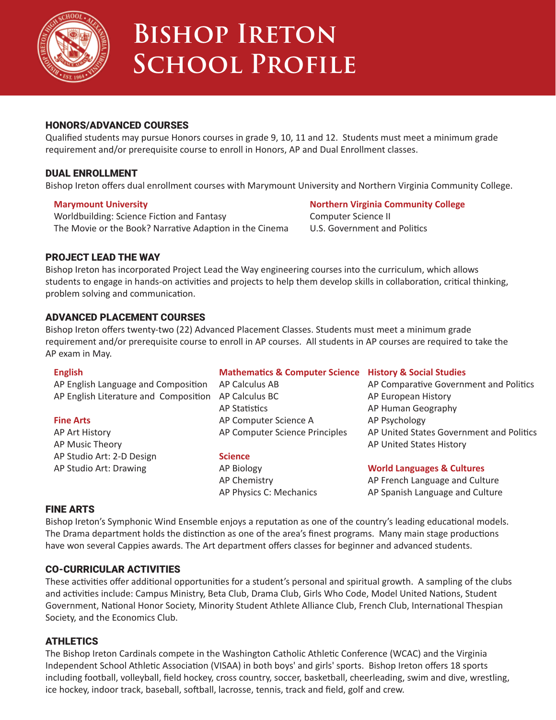

### **Bishop Ireton School Profile**

#### HONORS/ADVANCED COURSES

Qualified students may pursue Honors courses in grade 9, 10, 11 and 12. Students must meet a minimum grade requirement and/or prerequisite course to enroll in Honors, AP and Dual Enrollment classes.

#### DUAL ENROLLMENT

Bishop Ireton offers dual enrollment courses with Marymount University and Northern Virginia Community College.

#### **Marymount University**

Worldbuilding: Science Fiction and Fantasy The Movie or the Book? Narrative Adaption in the Cinema

#### **Northern Virginia Community College** Computer Science II U.S. Government and Politics

#### PROJECT LEAD THE WAY

Bishop Ireton has incorporated Project Lead the Way engineering courses into the curriculum, which allows students to engage in hands-on activities and projects to help them develop skills in collaboration, critical thinking, problem solving and communication.

#### ADVANCED PLACEMENT COURSES

Bishop Ireton offers twenty-two (22) Advanced Placement Classes. Students must meet a minimum grade requirement and/or prerequisite course to enroll in AP courses. All students in AP courses are required to take the AP exam in May.

| <b>English</b>                        | <b>Mathematics &amp; Computer Science</b> | <b>History &amp; Social Studies</b>      |
|---------------------------------------|-------------------------------------------|------------------------------------------|
| AP English Language and Composition   | AP Calculus AB                            | AP Comparative Government and Politics   |
| AP English Literature and Composition | AP Calculus BC                            | AP European History                      |
|                                       | AP Statistics                             | AP Human Geography                       |
| <b>Fine Arts</b>                      | AP Computer Science A                     | AP Psychology                            |
| AP Art History                        | AP Computer Science Principles            | AP United States Government and Politics |
| AP Music Theory                       |                                           | AP United States History                 |
| AP Studio Art: 2-D Design             | <b>Science</b>                            |                                          |
| AP Studio Art: Drawing                | AP Biology                                | <b>World Languages &amp; Cultures</b>    |
|                                       | AP Chemistry                              | AP French Language and Culture           |
|                                       | AP Physics C: Mechanics                   | AP Spanish Language and Culture          |

#### FINE ARTS

Bishop Ireton's Symphonic Wind Ensemble enjoys a reputation as one of the country's leading educational models. The Drama department holds the distinction as one of the area's finest programs. Many main stage productions have won several Cappies awards. The Art department offers classes for beginner and advanced students.

#### CO-CURRICULAR ACTIVITIES

These activities offer additional opportunities for a student's personal and spiritual growth. A sampling of the clubs and activities include: Campus Ministry, Beta Club, Drama Club, Girls Who Code, Model United Nations, Student Government, National Honor Society, Minority Student Athlete Alliance Club, French Club, International Thespian Society, and the Economics Club.

#### ATHLETICS

The Bishop Ireton Cardinals compete in the Washington Catholic Athletic Conference (WCAC) and the Virginia Independent School Athletic Association (VISAA) in both boys' and girls' sports. Bishop Ireton offers 18 sports including football, volleyball, field hockey, cross country, soccer, basketball, cheerleading, swim and dive, wrestling, ice hockey, indoor track, baseball, softball, lacrosse, tennis, track and field, golf and crew.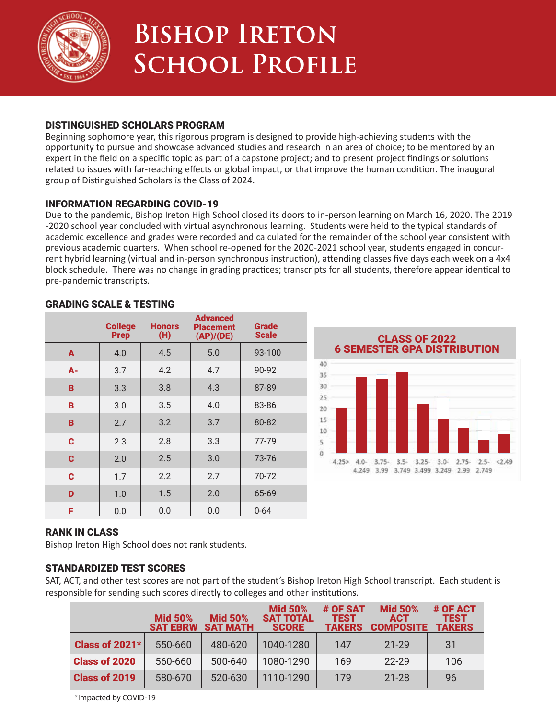

### **Bishop Ireton School Profile**

#### DISTINGUISHED SCHOLARS PROGRAM

Beginning sophomore year, this rigorous program is designed to provide high-achieving students with the opportunity to pursue and showcase advanced studies and research in an area of choice; to be mentored by an expert in the field on a specific topic as part of a capstone project; and to present project findings or solutions related to issues with far-reaching effects or global impact, or that improve the human condition. The inaugural group of Distinguished Scholars is the Class of 2024.

#### INFORMATION REGARDING COVID-19

Due to the pandemic, Bishop Ireton High School closed its doors to in-person learning on March 16, 2020. The 2019 -2020 school year concluded with virtual asynchronous learning. Students were held to the typical standards of academic excellence and grades were recorded and calculated for the remainder of the school year consistent with previous academic quarters. When school re-opened for the 2020-2021 school year, students engaged in concurrent hybrid learning (virtual and in-person synchronous instruction), attending classes five days each week on a 4x4 block schedule. There was no change in grading practices; transcripts for all students, therefore appear identical to pre-pandemic transcripts.

|             | <b>College</b><br><b>Prep</b> | <b>Honors</b><br>(H) | <b>Advanced</b><br>Placement<br>(AP)/(DE) | <b>Grade</b><br><b>Scale</b> |
|-------------|-------------------------------|----------------------|-------------------------------------------|------------------------------|
| A           | 4.0                           | 4.5                  | 5.0                                       | 93-100                       |
| A-          | 3.7                           | 4.2                  | 4.7                                       | 90-92                        |
| в           | 3.3                           | 3.8                  | 4.3                                       | 87-89                        |
| B           | 3.0                           | 3.5                  | 4.0                                       | 83-86                        |
| B           | 2.7                           | 3.2                  | 3.7                                       | 80-82                        |
| C           | 2.3                           | 2.8                  | 3.3                                       | 77-79                        |
| C           | 2.0                           | 2.5                  | 3.0                                       | 73-76                        |
| $\mathbf c$ | 1.7                           | 2.2                  | 2.7                                       | 70-72                        |
| D           | 1.0                           | 1.5                  | 2.0                                       | 65-69                        |
| F           | 0.0                           | 0.0                  | 0.0                                       | $0 - 64$                     |

#### GRADING SCALE & TESTING



#### RANK IN CLASS

Bishop Ireton High School does not rank students.

### STANDARDIZED TEST SCORES

SAT, ACT, and other test scores are not part of the student's Bishop Ireton High School transcript. Each student is responsible for sending such scores directly to colleges and other institutions.

|                       | <b>Mid 50%</b><br><b>SAT EBRW</b> | <b>Mid 50%</b><br><b>SAT MATH</b> | <b>Mid 50%</b><br><b>SAT TOTAL</b><br><b>SCORE</b> | # OF SAT<br><b>TEST</b><br><b>TAKERS</b> | <b>Mid 50%</b><br><b>ACT</b><br><b>COMPOSITE</b> | # OF ACT<br>TEST<br><b>TAKERS</b> |
|-----------------------|-----------------------------------|-----------------------------------|----------------------------------------------------|------------------------------------------|--------------------------------------------------|-----------------------------------|
| <b>Class of 2021*</b> | 550-660                           | 480-620                           | 1040-1280                                          | 147                                      | $21 - 29$                                        | 31                                |
| <b>Class of 2020</b>  | 560-660                           | 500-640                           | 1080-1290                                          | 169                                      | 22-29                                            | 106                               |
| <b>Class of 2019</b>  | 580-670                           | 520-630                           | 1110-1290                                          | 179                                      | $21 - 28$                                        | 96                                |

\*Impacted by COVID-19